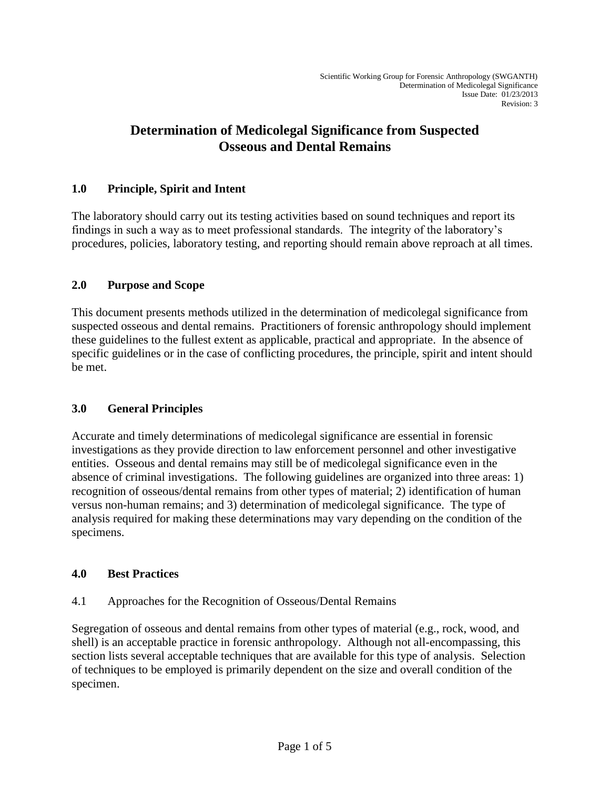# **Determination of Medicolegal Significance from Suspected Osseous and Dental Remains**

## **1.0 Principle, Spirit and Intent**

The laboratory should carry out its testing activities based on sound techniques and report its findings in such a way as to meet professional standards. The integrity of the laboratory's procedures, policies, laboratory testing, and reporting should remain above reproach at all times.

## **2.0 Purpose and Scope**

This document presents methods utilized in the determination of medicolegal significance from suspected osseous and dental remains. Practitioners of forensic anthropology should implement these guidelines to the fullest extent as applicable, practical and appropriate. In the absence of specific guidelines or in the case of conflicting procedures, the principle, spirit and intent should be met.

## **3.0 General Principles**

Accurate and timely determinations of medicolegal significance are essential in forensic investigations as they provide direction to law enforcement personnel and other investigative entities. Osseous and dental remains may still be of medicolegal significance even in the absence of criminal investigations. The following guidelines are organized into three areas: 1) recognition of osseous/dental remains from other types of material; 2) identification of human versus non-human remains; and 3) determination of medicolegal significance. The type of analysis required for making these determinations may vary depending on the condition of the specimens.

## **4.0 Best Practices**

## 4.1 Approaches for the Recognition of Osseous/Dental Remains

Segregation of osseous and dental remains from other types of material (e.g., rock, wood, and shell) is an acceptable practice in forensic anthropology. Although not all-encompassing, this section lists several acceptable techniques that are available for this type of analysis. Selection of techniques to be employed is primarily dependent on the size and overall condition of the specimen.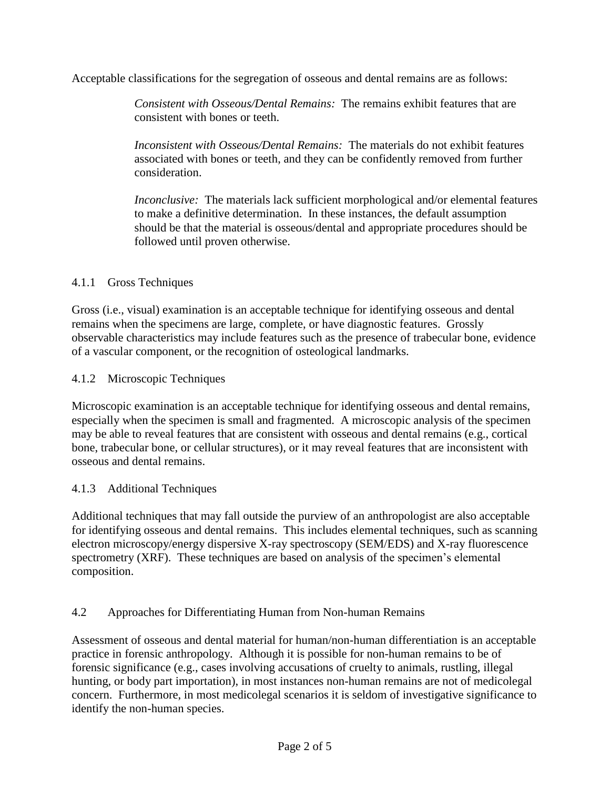Acceptable classifications for the segregation of osseous and dental remains are as follows:

*Consistent with Osseous/Dental Remains:* The remains exhibit features that are consistent with bones or teeth.

*Inconsistent with Osseous/Dental Remains:* The materials do not exhibit features associated with bones or teeth, and they can be confidently removed from further consideration.

*Inconclusive:* The materials lack sufficient morphological and/or elemental features to make a definitive determination. In these instances, the default assumption should be that the material is osseous/dental and appropriate procedures should be followed until proven otherwise.

#### 4.1.1 Gross Techniques

Gross (i.e., visual) examination is an acceptable technique for identifying osseous and dental remains when the specimens are large, complete, or have diagnostic features. Grossly observable characteristics may include features such as the presence of trabecular bone, evidence of a vascular component, or the recognition of osteological landmarks.

4.1.2 Microscopic Techniques

Microscopic examination is an acceptable technique for identifying osseous and dental remains, especially when the specimen is small and fragmented. A microscopic analysis of the specimen may be able to reveal features that are consistent with osseous and dental remains (e.g., cortical bone, trabecular bone, or cellular structures), or it may reveal features that are inconsistent with osseous and dental remains.

## 4.1.3 Additional Techniques

Additional techniques that may fall outside the purview of an anthropologist are also acceptable for identifying osseous and dental remains. This includes elemental techniques, such as scanning electron microscopy/energy dispersive X-ray spectroscopy (SEM/EDS) and X-ray fluorescence spectrometry (XRF). These techniques are based on analysis of the specimen's elemental composition.

#### 4.2 Approaches for Differentiating Human from Non-human Remains

Assessment of osseous and dental material for human/non-human differentiation is an acceptable practice in forensic anthropology. Although it is possible for non-human remains to be of forensic significance (e.g., cases involving accusations of cruelty to animals, rustling, illegal hunting, or body part importation), in most instances non-human remains are not of medicolegal concern. Furthermore, in most medicolegal scenarios it is seldom of investigative significance to identify the non-human species.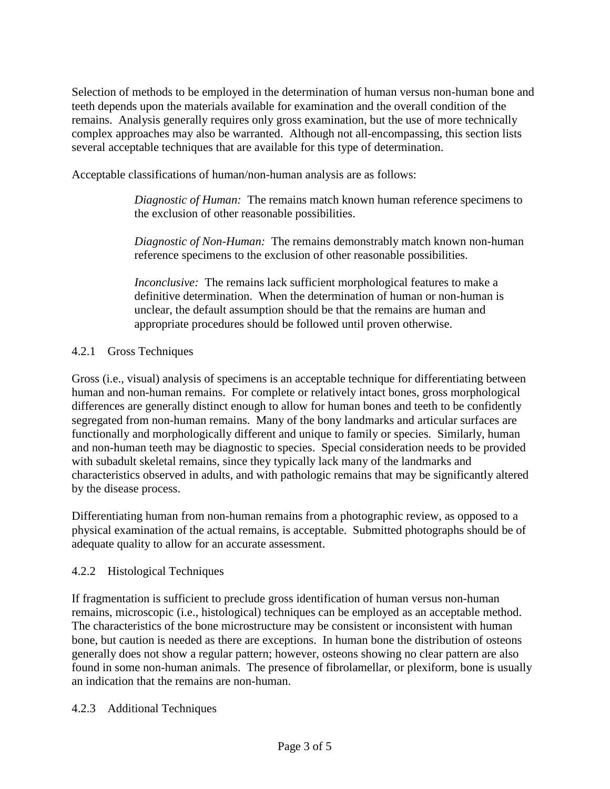Selection of methods to be employed in the determination of human versus non-human bone and teeth depends upon the materials available for examination and the overall condition of the remains. Analysis generally requires only gross examination, but the use of more technically complex approaches may also be warranted. Although not all-encompassing, this section lists several acceptable techniques that are available for this type of determination.

Acceptable classifications of human/non-human analysis are as follows:

*Diagnostic of Human:* The remains match known human reference specimens to the exclusion of other reasonable possibilities.

*Diagnostic of Non-Human:* The remains demonstrably match known non-human reference specimens to the exclusion of other reasonable possibilities.

*Inconclusive:* The remains lack sufficient morphological features to make a definitive determination. When the determination of human or non-human is unclear, the default assumption should be that the remains are human and appropriate procedures should be followed until proven otherwise.

#### 4.2.1 Gross Techniques

Gross (i.e., visual) analysis of specimens is an acceptable technique for differentiating between human and non-human remains. For complete or relatively intact bones, gross morphological differences are generally distinct enough to allow for human bones and teeth to be confidently segregated from non-human remains. Many of the bony landmarks and articular surfaces are functionally and morphologically different and unique to family or species. Similarly, human and non-human teeth may be diagnostic to species. Special consideration needs to be provided with subadult skeletal remains, since they typically lack many of the landmarks and characteristics observed in adults, and with pathologic remains that may be significantly altered by the disease process.

Differentiating human from non-human remains from a photographic review, as opposed to a physical examination of the actual remains, is acceptable. Submitted photographs should be of adequate quality to allow for an accurate assessment.

#### 4.2.2 Histological Techniques

If fragmentation is sufficient to preclude gross identification of human versus non-human remains, microscopic (i.e., histological) techniques can be employed as an acceptable method. The characteristics of the bone microstructure may be consistent or inconsistent with human bone, but caution is needed as there are exceptions. In human bone the distribution of osteons generally does not show a regular pattern; however, osteons showing no clear pattern are also found in some non-human animals. The presence of fibrolamellar, or plexiform, bone is usually an indication that the remains are non-human.

#### 4.2.3 Additional Techniques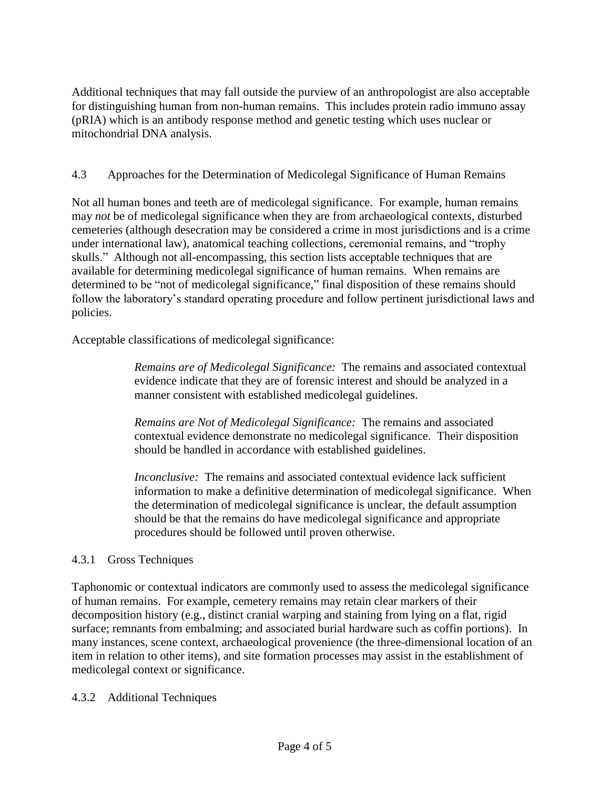Additional techniques that may fall outside the purview of an anthropologist are also acceptable for distinguishing human from non-human remains. This includes protein radio immuno assay (pRIA) which is an antibody response method and genetic testing which uses nuclear or mitochondrial DNA analysis.

## 4.3 Approaches for the Determination of Medicolegal Significance of Human Remains

Not all human bones and teeth are of medicolegal significance. For example, human remains may *not* be of medicolegal significance when they are from archaeological contexts, disturbed cemeteries (although desecration may be considered a crime in most jurisdictions and is a crime under international law), anatomical teaching collections, ceremonial remains, and "trophy skulls." Although not all-encompassing, this section lists acceptable techniques that are available for determining medicolegal significance of human remains. When remains are determined to be "not of medicolegal significance," final disposition of these remains should follow the laboratory's standard operating procedure and follow pertinent jurisdictional laws and policies.

Acceptable classifications of medicolegal significance:

*Remains are of Medicolegal Significance:* The remains and associated contextual evidence indicate that they are of forensic interest and should be analyzed in a manner consistent with established medicolegal guidelines.

*Remains are Not of Medicolegal Significance:* The remains and associated contextual evidence demonstrate no medicolegal significance. Their disposition should be handled in accordance with established guidelines.

*Inconclusive:* The remains and associated contextual evidence lack sufficient information to make a definitive determination of medicolegal significance. When the determination of medicolegal significance is unclear, the default assumption should be that the remains do have medicolegal significance and appropriate procedures should be followed until proven otherwise.

## 4.3.1 Gross Techniques

Taphonomic or contextual indicators are commonly used to assess the medicolegal significance of human remains. For example, cemetery remains may retain clear markers of their decomposition history (e.g., distinct cranial warping and staining from lying on a flat, rigid surface; remnants from embalming; and associated burial hardware such as coffin portions). In many instances, scene context, archaeological provenience (the three-dimensional location of an item in relation to other items), and site formation processes may assist in the establishment of medicolegal context or significance.

4.3.2 Additional Techniques